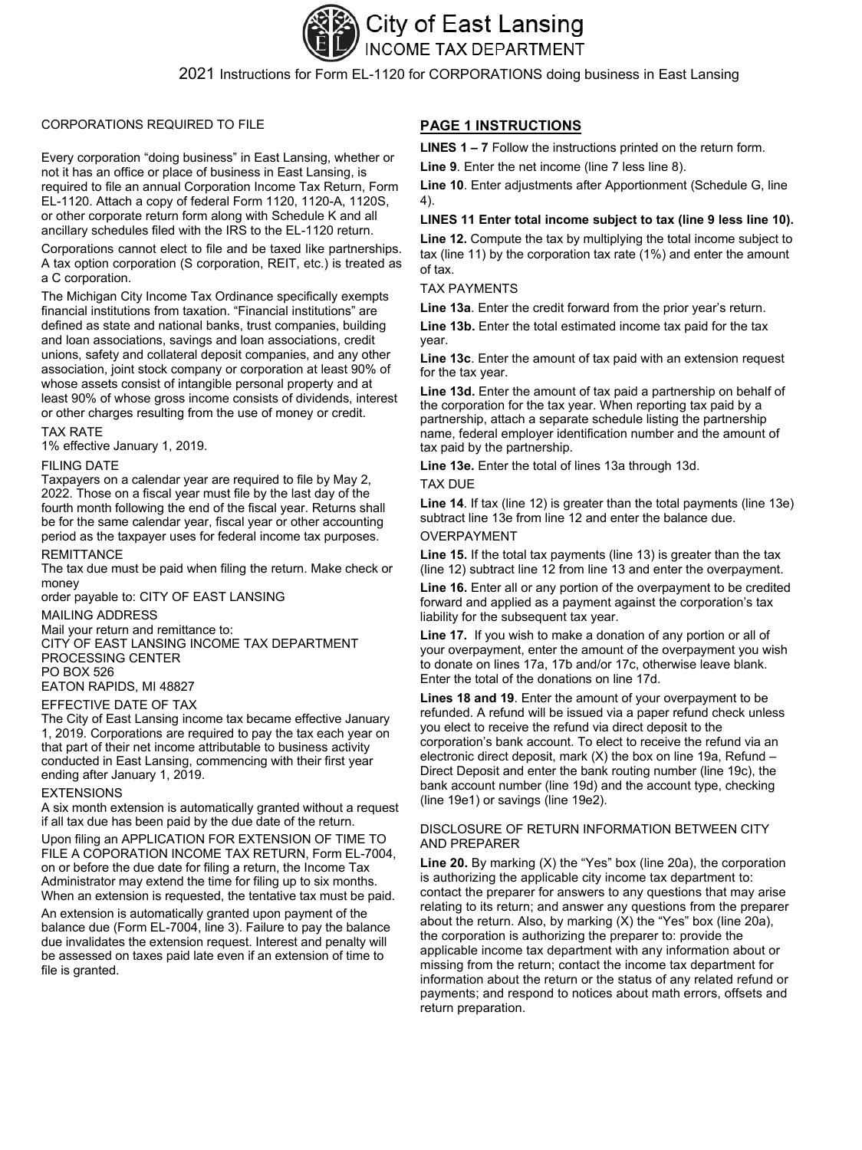

2021 Instructions for Form EL-1120 for CORPORATIONS doing business in East Lansing

## CORPORATIONS REQUIRED TO FILE

Every corporation "doing business" in East Lansing, whether or not it has an office or place of business in East Lansing, is required to file an annual Corporation Income Tax Return, Form EL-1120. Attach a copy of federal Form 1120, 1120-A, 1120S, or other corporate return form along with Schedule K and all ancillary schedules filed with the IRS to the EL-1120 return.

Corporations cannot elect to file and be taxed like partnerships. A tax option corporation (S corporation, REIT, etc.) is treated as a C corporation.

The Michigan City Income Tax Ordinance specifically exempts financial institutions from taxation. "Financial institutions" are defined as state and national banks, trust companies, building and loan associations, savings and loan associations, credit unions, safety and collateral deposit companies, and any other association, joint stock company or corporation at least 90% of whose assets consist of intangible personal property and at least 90% of whose gross income consists of dividends, interest or other charges resulting from the use of money or credit.

#### TAX RATE

1% effective January 1, 2019.

#### FILING DATE

Taxpayers on a calendar year are required to file by May 2, 2022. Those on a fiscal year must file by the last day of the fourth month following the end of the fiscal year. Returns shall be for the same calendar year, fiscal year or other accounting period as the taxpayer uses for federal income tax purposes.

#### **REMITTANCE**

The tax due must be paid when filing the return. Make check or money

order payable to: CITY OF EAST LANSING

#### MAILING ADDRESS

Mail your return and remittance to: CITY OF EAST LANSING INCOME TAX DEPARTMENT PROCESSING CENTER PO BOX 526

EATON RAPIDS, MI 48827

### EFFECTIVE DATE OF TAX

The City of East Lansing income tax became effective January 1, 2019. Corporations are required to pay the tax each year on that part of their net income attributable to business activity conducted in East Lansing, commencing with their first year ending after January 1, 2019.

#### EXTENSIONS

A six month extension is automatically granted without a request if all tax due has been paid by the due date of the return.

Upon filing an APPLICATION FOR EXTENSION OF TIME TO FILE A COPORATION INCOME TAX RETURN, Form EL-7004, on or before the due date for filing a return, the Income Tax Administrator may extend the time for filing up to six months. When an extension is requested, the tentative tax must be paid.

An extension is automatically granted upon payment of the balance due (Form EL-7004, line 3). Failure to pay the balance due invalidates the extension request. Interest and penalty will be assessed on taxes paid late even if an extension of time to file is granted.

# **PAGE 1 INSTRUCTIONS**

**LINES 1 – 7** Follow the instructions printed on the return form.

**Line 9**. Enter the net income (line 7 less line 8).

**Line 10**. Enter adjustments after Apportionment (Schedule G, line 4).

### **LINES 11 Enter total income subject to tax (line 9 less line 10).**

**Line 12.** Compute the tax by multiplying the total income subject to tax (line 11) by the corporation tax rate (1%) and enter the amount of tax.

### TAX PAYMENTS

**Line 13a**. Enter the credit forward from the prior year's return. **Line 13b.** Enter the total estimated income tax paid for the tax year.

**Line 13c**. Enter the amount of tax paid with an extension request for the tax year.

**Line 13d.** Enter the amount of tax paid a partnership on behalf of the corporation for the tax year. When reporting tax paid by a partnership, attach a separate schedule listing the partnership name, federal employer identification number and the amount of tax paid by the partnership.

**Line 13e.** Enter the total of lines 13a through 13d.

#### TAX DUE

**Line 14**. If tax (line 12) is greater than the total payments (line 13e) subtract line 13e from line 12 and enter the balance due.

#### OVERPAYMENT

**Line 15.** If the total tax payments (line 13) is greater than the tax (line 12) subtract line 12 from line 13 and enter the overpayment.

**Line 16.** Enter all or any portion of the overpayment to be credited forward and applied as a payment against the corporation's tax liability for the subsequent tax year.

**Line 17.** If you wish to make a donation of any portion or all of your overpayment, enter the amount of the overpayment you wish to donate on lines 17a, 17b and/or 17c, otherwise leave blank. Enter the total of the donations on line 17d.

**Lines 18 and 19**. Enter the amount of your overpayment to be refunded. A refund will be issued via a paper refund check unless you elect to receive the refund via direct deposit to the corporation's bank account. To elect to receive the refund via an electronic direct deposit, mark (X) the box on line 19a, Refund – Direct Deposit and enter the bank routing number (line 19c), the bank account number (line 19d) and the account type, checking (line 19e1) or savings (line 19e2).

### DISCLOSURE OF RETURN INFORMATION BETWEEN CITY AND PREPARER

**Line 20.** By marking (X) the "Yes" box (line 20a), the corporation is authorizing the applicable city income tax department to: contact the preparer for answers to any questions that may arise relating to its return; and answer any questions from the preparer about the return. Also, by marking (X) the "Yes" box (line 20a), the corporation is authorizing the preparer to: provide the applicable income tax department with any information about or missing from the return; contact the income tax department for information about the return or the status of any related refund or payments; and respond to notices about math errors, offsets and return preparation.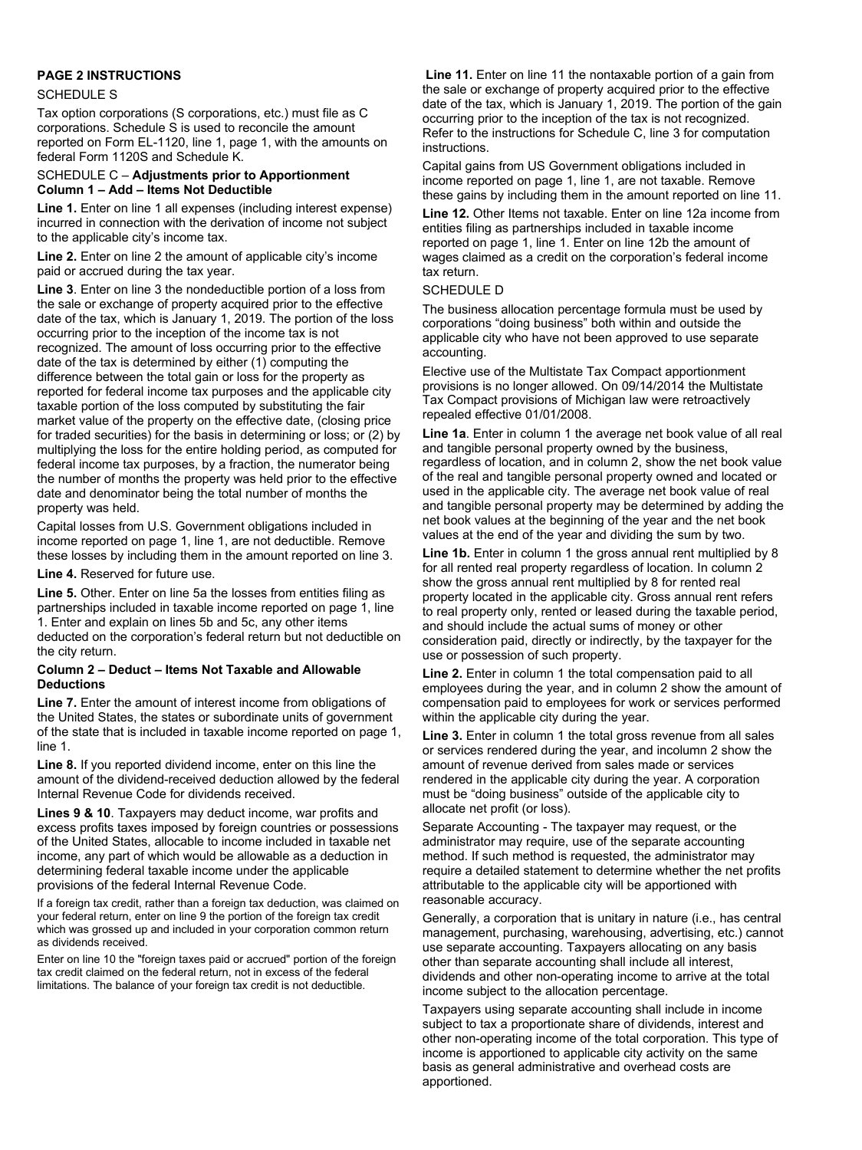### **PAGE 2 INSTRUCTIONS**

#### SCHEDULE S

Tax option corporations (S corporations, etc.) must file as C corporations. Schedule S is used to reconcile the amount reported on Form EL-1120, line 1, page 1, with the amounts on federal Form 1120S and Schedule K.

#### SCHEDULE C – **Adjustments prior to Apportionment Column 1 – Add – Items Not Deductible**

**Line 1.** Enter on line 1 all expenses (including interest expense) incurred in connection with the derivation of income not subject to the applicable city's income tax.

**Line 2.** Enter on line 2 the amount of applicable city's income paid or accrued during the tax year.

**Line 3**. Enter on line 3 the nondeductible portion of a loss from the sale or exchange of property acquired prior to the effective date of the tax, which is January 1, 2019. The portion of the loss occurring prior to the inception of the income tax is not recognized. The amount of loss occurring prior to the effective date of the tax is determined by either (1) computing the difference between the total gain or loss for the property as reported for federal income tax purposes and the applicable city taxable portion of the loss computed by substituting the fair market value of the property on the effective date, (closing price for traded securities) for the basis in determining or loss; or (2) by multiplying the loss for the entire holding period, as computed for federal income tax purposes, by a fraction, the numerator being the number of months the property was held prior to the effective date and denominator being the total number of months the property was held.

Capital losses from U.S. Government obligations included in income reported on page 1, line 1, are not deductible. Remove these losses by including them in the amount reported on line 3.

**Line 4.** Reserved for future use.

**Line 5.** Other. Enter on line 5a the losses from entities filing as partnerships included in taxable income reported on page 1, line 1. Enter and explain on lines 5b and 5c, any other items deducted on the corporation's federal return but not deductible on the city return.

#### **Column 2 – Deduct – Items Not Taxable and Allowable Deductions**

**Line 7.** Enter the amount of interest income from obligations of the United States, the states or subordinate units of government of the state that is included in taxable income reported on page 1, line 1.

**Line 8.** If you reported dividend income, enter on this line the amount of the dividend-received deduction allowed by the federal Internal Revenue Code for dividends received.

**Lines 9 & 10**. Taxpayers may deduct income, war profits and excess profits taxes imposed by foreign countries or possessions of the United States, allocable to income included in taxable net income, any part of which would be allowable as a deduction in determining federal taxable income under the applicable provisions of the federal Internal Revenue Code.

If a foreign tax credit, rather than a foreign tax deduction, was claimed on your federal return, enter on line 9 the portion of the foreign tax credit which was grossed up and included in your corporation common return as dividends received.

Enter on line 10 the "foreign taxes paid or accrued" portion of the foreign tax credit claimed on the federal return, not in excess of the federal limitations. The balance of your foreign tax credit is not deductible.

**Line 11.** Enter on line 11 the nontaxable portion of a gain from the sale or exchange of property acquired prior to the effective date of the tax, which is January 1, 2019. The portion of the gain occurring prior to the inception of the tax is not recognized. Refer to the instructions for Schedule C, line 3 for computation instructions.

Capital gains from US Government obligations included in income reported on page 1, line 1, are not taxable. Remove these gains by including them in the amount reported on line 11.

**Line 12.** Other Items not taxable. Enter on line 12a income from entities filing as partnerships included in taxable income reported on page 1, line 1. Enter on line 12b the amount of wages claimed as a credit on the corporation's federal income tax return.

### SCHEDULE D

The business allocation percentage formula must be used by corporations "doing business" both within and outside the applicable city who have not been approved to use separate accounting.

Elective use of the Multistate Tax Compact apportionment provisions is no longer allowed. On 09/14/2014 the Multistate Tax Compact provisions of Michigan law were retroactively repealed effective 01/01/2008.

**Line 1a**. Enter in column 1 the average net book value of all real and tangible personal property owned by the business, regardless of location, and in column 2, show the net book value of the real and tangible personal property owned and located or used in the applicable city. The average net book value of real and tangible personal property may be determined by adding the net book values at the beginning of the year and the net book values at the end of the year and dividing the sum by two.

**Line 1b.** Enter in column 1 the gross annual rent multiplied by 8 for all rented real property regardless of location. In column 2 show the gross annual rent multiplied by 8 for rented real property located in the applicable city. Gross annual rent refers to real property only, rented or leased during the taxable period, and should include the actual sums of money or other consideration paid, directly or indirectly, by the taxpayer for the use or possession of such property.

**Line 2.** Enter in column 1 the total compensation paid to all employees during the year, and in column 2 show the amount of compensation paid to employees for work or services performed within the applicable city during the year.

**Line 3.** Enter in column 1 the total gross revenue from all sales or services rendered during the year, and incolumn 2 show the amount of revenue derived from sales made or services rendered in the applicable city during the year. A corporation must be "doing business" outside of the applicable city to allocate net profit (or loss).

Separate Accounting - The taxpayer may request, or the administrator may require, use of the separate accounting method. If such method is requested, the administrator may require a detailed statement to determine whether the net profits attributable to the applicable city will be apportioned with reasonable accuracy.

Generally, a corporation that is unitary in nature (i.e., has central management, purchasing, warehousing, advertising, etc.) cannot use separate accounting. Taxpayers allocating on any basis other than separate accounting shall include all interest, dividends and other non-operating income to arrive at the total income subject to the allocation percentage.

Taxpayers using separate accounting shall include in income subject to tax a proportionate share of dividends, interest and other non-operating income of the total corporation. This type of income is apportioned to applicable city activity on the same basis as general administrative and overhead costs are apportioned.